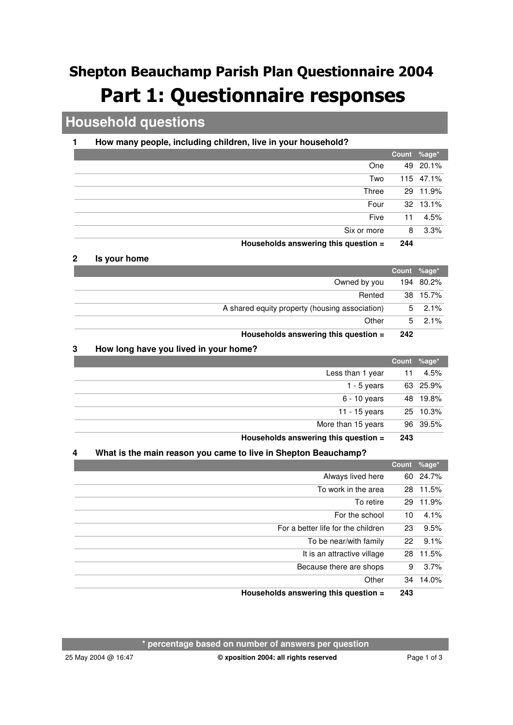# Shepton Beauchamp Parish Plan Questionnaire 2004 **Part 1: Questionnaire responses**

## **Household questions**

### **1 How many people, including children, live in your household?**

|                                      |     | Count %age* |
|--------------------------------------|-----|-------------|
| One                                  |     | 49 20.1%    |
| Two                                  |     | 115 47.1%   |
| Three                                |     | 29 11.9%    |
| Four                                 |     | 32 13.1%    |
| Five                                 | 11  | 4.5%        |
| Six or more                          | 8   | 3.3%        |
| Households answering this question = | 244 |             |

#### **2 Is your home**

|                                                | Count %age* |                |
|------------------------------------------------|-------------|----------------|
| Owned by you                                   |             | 194 80.2%      |
| Rented                                         |             | 38 15.7%       |
| A shared equity property (housing association) |             | $5\quad 2.1\%$ |
| Other                                          | 5           | $2.1\%$        |
| Households answering this question =           | 242         |                |

#### **3 How long have you lived in your home?**

|                                           |     | Count %age* |
|-------------------------------------------|-----|-------------|
| Less than 1 year                          | 11  | 4.5%        |
| 1 - 5 years                               |     | 63 25.9%    |
| 6 - 10 years                              |     | 48 19.8%    |
| 11 - 15 years                             |     | 25 10.3%    |
| More than 15 years                        |     | 96 39.5%    |
| $H$ ouscholds answering this question $-$ | 242 |             |

#### **Households answering this question = 243**

#### **4 What is the main reason you came to live in Shepton Beauchamp?**

|                                      | Count %age* |          |
|--------------------------------------|-------------|----------|
| Always lived here                    |             | 60 24.7% |
| To work in the area                  |             | 28 11.5% |
| To retire                            | 29          | 11.9%    |
| For the school                       | 10          | 4.1%     |
| For a better life for the children   | 23          | 9.5%     |
| To be near/with family               | 22          | 9.1%     |
| It is an attractive village          | 28          | 11.5%    |
| Because there are shops              | 9           | 3.7%     |
| Other                                | 34          | 14.0%    |
| Households answering this question = | 243         |          |

**\* percentage based on number of answers per question**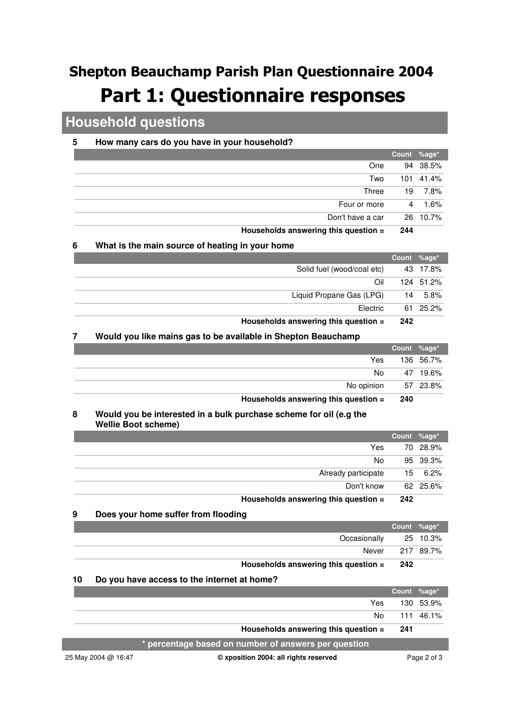# Shepton Beauchamp Parish Plan Questionnaire 2004 **Part 1: Questionnaire responses**

### **Household questions**

#### **5 How many cars do you have in your household?**

|                                      |     | Count %age* |
|--------------------------------------|-----|-------------|
| One                                  |     | 94 38.5%    |
| Two                                  |     | 101 41.4%   |
| Three                                | 19  | 7.8%        |
| Four or more                         | 4   | 1.6%        |
| Don't have a car                     |     | 26 10.7%    |
| Households answering this question = | 244 |             |

#### **6 What is the main source of heating in your home**

|                                      | Count %age* |           |
|--------------------------------------|-------------|-----------|
| Solid fuel (wood/coal etc)           |             | 43 17.8%  |
| Oil                                  |             | 124 51.2% |
| Liquid Propane Gas (LPG)             | 14          | 5.8%      |
| Electric                             |             | 61 25.2%  |
| Households answering this question = | 242         |           |

#### **7 Would you like mains gas to be available in Shepton Beauchamp**

|                                      | Count %age*   |          |
|--------------------------------------|---------------|----------|
|                                      | Yes 136 56.7% |          |
| No l                                 |               | 47 19.6% |
| No opinion 57 23.8%                  |               |          |
| Households answering this question = | - 240         |          |

#### **Would you be interested in a bulk purchase scheme for oil (e.g the Wellie Boot scheme) 8**

|                     |        | Count %age* |
|---------------------|--------|-------------|
| Yes                 |        | 70 28.9%    |
| No                  |        | 95 39.3%    |
| Already participate |        | 15 6.2%     |
| Don't know          |        | 62 25.6%    |
|                     | $\sim$ |             |

**Households answering this question = 242**

#### **9 Does your home suffer from flooding**

|                                      |     | Count %age*'    |
|--------------------------------------|-----|-----------------|
| Occasionally 25 10.3%                |     |                 |
|                                      |     | Never 217 89.7% |
| Households answering this question = | 242 |                 |

#### **10 Do you have access to the internet at home?**

|                     |                                                      | Count %age* |             |
|---------------------|------------------------------------------------------|-------------|-------------|
|                     | Yes                                                  |             | 130 53.9%   |
|                     | No.                                                  |             | 111 46.1%   |
|                     | Households answering this question =                 | -241        |             |
|                     | * percentage based on number of answers per question |             |             |
| 25 May 2004 @ 16:47 | © xposition 2004: all rights reserved                |             | Page 2 of 3 |